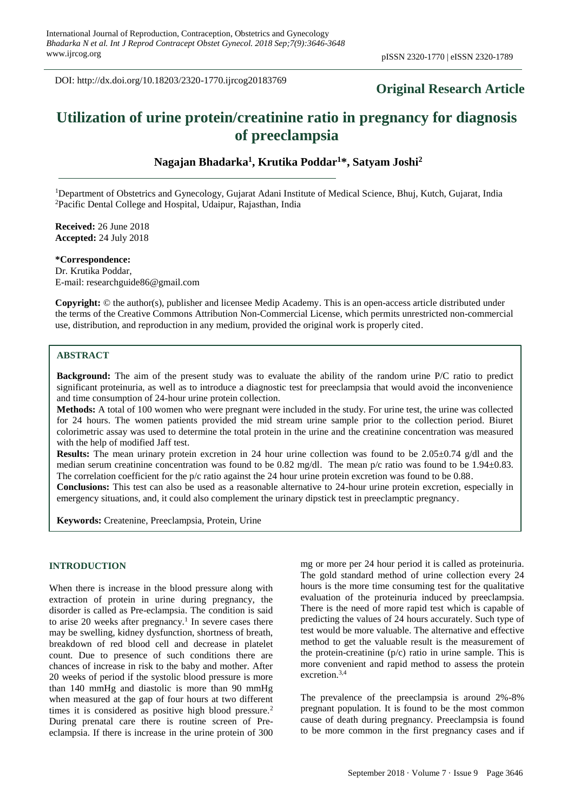DOI: http://dx.doi.org/10.18203/2320-1770.ijrcog20183769

# **Original Research Article**

# **Utilization of urine protein/creatinine ratio in pregnancy for diagnosis of preeclampsia**

**Nagajan Bhadarka<sup>1</sup> , Krutika Poddar<sup>1</sup>\*, Satyam Joshi<sup>2</sup>**

<sup>1</sup>Department of Obstetrics and Gynecology, Gujarat Adani Institute of Medical Science, Bhuj, Kutch, Gujarat, India <sup>2</sup>Pacific Dental College and Hospital, Udaipur, Rajasthan, India

**Received:** 26 June 2018 **Accepted:** 24 July 2018

**\*Correspondence:** Dr. Krutika Poddar, E-mail: researchguide86@gmail.com

**Copyright:** © the author(s), publisher and licensee Medip Academy. This is an open-access article distributed under the terms of the Creative Commons Attribution Non-Commercial License, which permits unrestricted non-commercial use, distribution, and reproduction in any medium, provided the original work is properly cited.

# **ABSTRACT**

**Background:** The aim of the present study was to evaluate the ability of the random urine P/C ratio to predict significant proteinuria, as well as to introduce a diagnostic test for preeclampsia that would avoid the inconvenience and time consumption of 24-hour urine protein collection.

**Methods:** A total of 100 women who were pregnant were included in the study. For urine test, the urine was collected for 24 hours. The women patients provided the mid stream urine sample prior to the collection period. Biuret colorimetric assay was used to determine the total protein in the urine and the creatinine concentration was measured with the help of modified Jaff test.

**Results:** The mean urinary protein excretion in 24 hour urine collection was found to be 2.05±0.74 g/dl and the median serum creatinine concentration was found to be 0.82 mg/dl. The mean p/c ratio was found to be 1.94±0.83. The correlation coefficient for the p/c ratio against the 24 hour urine protein excretion was found to be 0.88.

**Conclusions:** This test can also be used as a reasonable alternative to 24-hour urine protein excretion, especially in emergency situations, and, it could also complement the urinary dipstick test in preeclamptic pregnancy.

**Keywords:** Createnine, Preeclampsia, Protein, Urine

### **INTRODUCTION**

When there is increase in the blood pressure along with extraction of protein in urine during pregnancy, the disorder is called as Pre-eclampsia. The condition is said to arise 20 weeks after pregnancy.<sup>1</sup> In severe cases there may be swelling, kidney dysfunction, shortness of breath, breakdown of red blood cell and decrease in platelet count. Due to presence of such conditions there are chances of increase in risk to the baby and mother. After 20 weeks of period if the systolic blood pressure is more than 140 mmHg and diastolic is more than 90 mmHg when measured at the gap of four hours at two different times it is considered as positive high blood pressure.<sup>2</sup> During prenatal care there is routine screen of Preeclampsia. If there is increase in the urine protein of 300 mg or more per 24 hour period it is called as proteinuria. The gold standard method of urine collection every 24 hours is the more time consuming test for the qualitative evaluation of the proteinuria induced by preeclampsia. There is the need of more rapid test which is capable of predicting the values of 24 hours accurately. Such type of test would be more valuable. The alternative and effective method to get the valuable result is the measurement of the protein-creatinine  $(p/c)$  ratio in urine sample. This is more convenient and rapid method to assess the protein excretion.3,4

The prevalence of the preeclampsia is around 2%-8% pregnant population. It is found to be the most common cause of death during pregnancy. Preeclampsia is found to be more common in the first pregnancy cases and if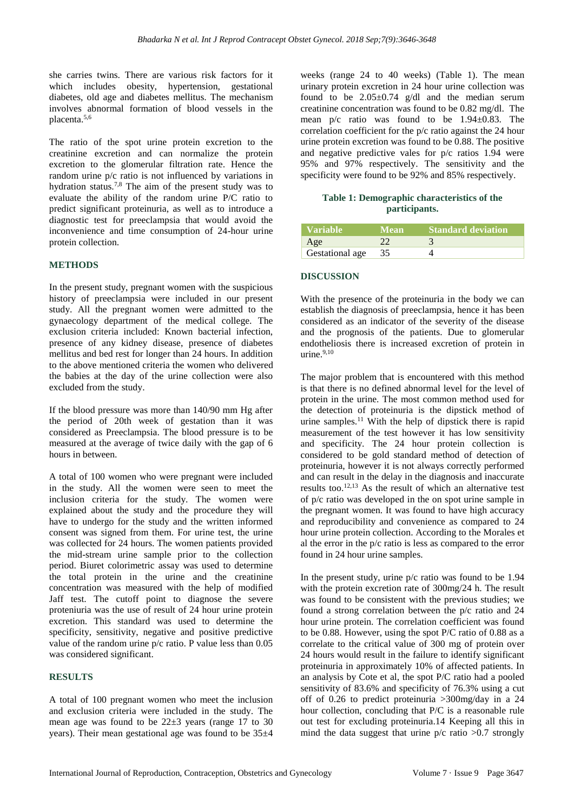she carries twins. There are various risk factors for it which includes obesity, hypertension, gestational diabetes, old age and diabetes mellitus. The mechanism involves abnormal formation of blood vessels in the placenta.5,6

The ratio of the spot urine protein excretion to the creatinine excretion and can normalize the protein excretion to the glomerular filtration rate. Hence the random urine p/c ratio is not influenced by variations in hydration status.7,8 The aim of the present study was to evaluate the ability of the random urine P/C ratio to predict significant proteinuria, as well as to introduce a diagnostic test for preeclampsia that would avoid the inconvenience and time consumption of 24-hour urine protein collection.

# **METHODS**

In the present study, pregnant women with the suspicious history of preeclampsia were included in our present study. All the pregnant women were admitted to the gynaecology department of the medical college. The exclusion criteria included: Known bacterial infection, presence of any kidney disease, presence of diabetes mellitus and bed rest for longer than 24 hours. In addition to the above mentioned criteria the women who delivered the babies at the day of the urine collection were also excluded from the study.

If the blood pressure was more than 140/90 mm Hg after the period of 20th week of gestation than it was considered as Preeclampsia. The blood pressure is to be measured at the average of twice daily with the gap of 6 hours in between.

A total of 100 women who were pregnant were included in the study. All the women were seen to meet the inclusion criteria for the study. The women were explained about the study and the procedure they will have to undergo for the study and the written informed consent was signed from them. For urine test, the urine was collected for 24 hours. The women patients provided the mid-stream urine sample prior to the collection period. Biuret colorimetric assay was used to determine the total protein in the urine and the creatinine concentration was measured with the help of modified Jaff test. The cutoff point to diagnose the severe proteniuria was the use of result of 24 hour urine protein excretion. This standard was used to determine the specificity, sensitivity, negative and positive predictive value of the random urine p/c ratio. P value less than 0.05 was considered significant.

# **RESULTS**

A total of 100 pregnant women who meet the inclusion and exclusion criteria were included in the study. The mean age was found to be 22±3 years (range 17 to 30 years). Their mean gestational age was found to be  $35\pm4$ 

weeks (range 24 to 40 weeks) (Table 1). The mean urinary protein excretion in 24 hour urine collection was found to be  $2.05 \pm 0.74$  g/dl and the median serum creatinine concentration was found to be 0.82 mg/dl. The mean p/c ratio was found to be 1.94±0.83. The correlation coefficient for the p/c ratio against the 24 hour urine protein excretion was found to be 0.88. The positive and negative predictive vales for p/c ratios 1.94 were 95% and 97% respectively. The sensitivity and the specificity were found to be 92% and 85% respectively.

## **Table 1: Demographic characteristics of the participants.**

| <b>Variable</b> | <b>Mean</b> | <b>Standard deviation</b> |
|-----------------|-------------|---------------------------|
| Age             |             |                           |
| Gestational age | 35          |                           |

## **DISCUSSION**

With the presence of the proteinuria in the body we can establish the diagnosis of preeclampsia, hence it has been considered as an indicator of the severity of the disease and the prognosis of the patients. Due to glomerular endotheliosis there is increased excretion of protein in urine. $9,10$ 

The major problem that is encountered with this method is that there is no defined abnormal level for the level of protein in the urine. The most common method used for the detection of proteinuria is the dipstick method of urine samples.<sup>11</sup> With the help of dipstick there is rapid measurement of the test however it has low sensitivity and specificity. The 24 hour protein collection is considered to be gold standard method of detection of proteinuria, however it is not always correctly performed and can result in the delay in the diagnosis and inaccurate results too.12,13 As the result of which an alternative test of p/c ratio was developed in the on spot urine sample in the pregnant women. It was found to have high accuracy and reproducibility and convenience as compared to 24 hour urine protein collection. According to the Morales et al the error in the p/c ratio is less as compared to the error found in 24 hour urine samples.

In the present study, urine p/c ratio was found to be 1.94 with the protein excretion rate of 300mg/24 h. The result was found to be consistent with the previous studies; we found a strong correlation between the p/c ratio and 24 hour urine protein. The correlation coefficient was found to be 0.88. However, using the spot P/C ratio of 0.88 as a correlate to the critical value of 300 mg of protein over 24 hours would result in the failure to identify significant proteinuria in approximately 10% of affected patients. In an analysis by Cote et al, the spot P/C ratio had a pooled sensitivity of 83.6% and specificity of 76.3% using a cut off of 0.26 to predict proteinuria >300mg/day in a 24 hour collection, concluding that P/C is a reasonable rule out test for excluding proteinuria.14 Keeping all this in mind the data suggest that urine  $p/c$  ratio  $>0.7$  strongly